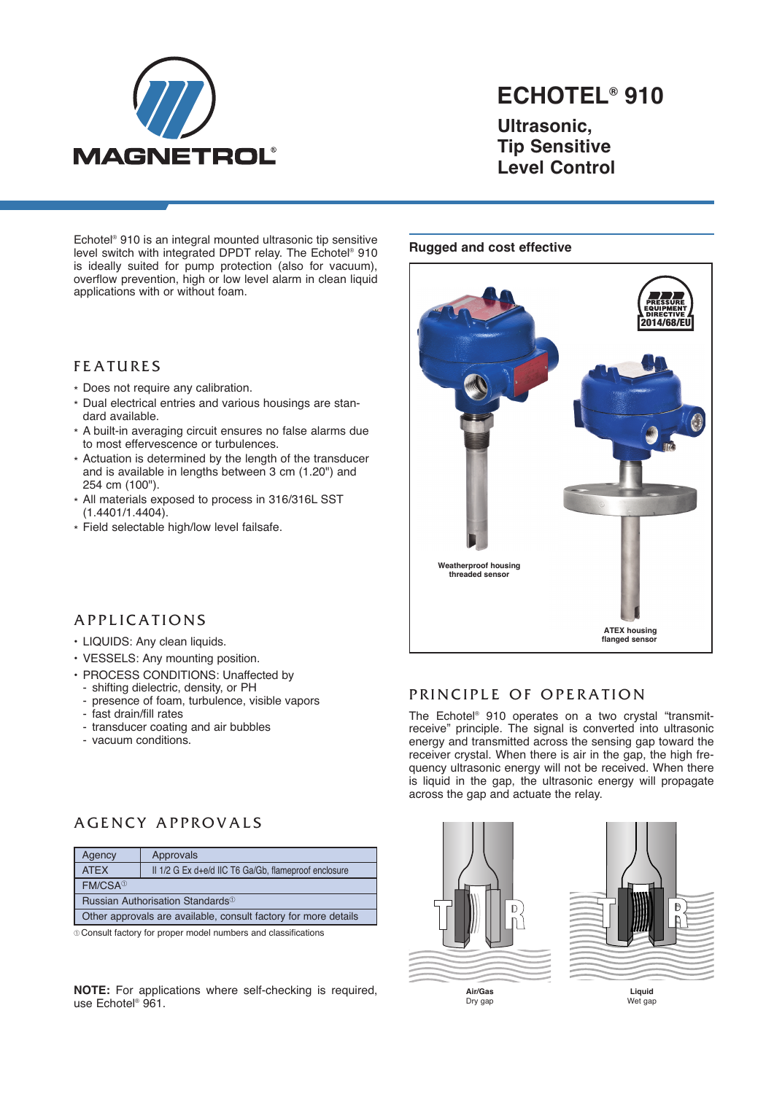

# **ECHOTEL® 910**

**Ultrasonic, Tip Sensitive Level Control**

Echotel ® 910 is an integral mounted ultrasonic tip sensitive level switch with integrated DPDT relay. The Echotel ® 910 is ideally suited for pump protection (also for vacuum), overflow prevention, high or low level alarm in clean liquid applications with or without foam.

### **FEATURES**

- \* Does not require any calibration.
- \* Dual electrical entries and various housings are standard available.
- \* A built-in averaging circuit ensures no false alarms due to most effervescence or turbulences.
- \* Actuation is determined by the length of the transducer and is available in lengths between 3 cm (1.20") and 254 cm (100").
- \* All materials exposed to process in 316/316L SST (1.4401/1.4404).
- \* Field selectable high/low level failsafe.

#### **Rugged and cost effective**



## A P P L I C A T I O N S

- LIQUIDS: Any clean liquids.
- VESSELS: Any mounting position.
- PROCESS CONDITIONS: Unaffected by
- shifting dielectric, density, or PH
- presence of foam, turbulence, visible vapors
- fast drain/fill rates
- transducer coating and air bubbles
- vacuum conditions.

## A GENCY APPROVALS

| Agency                                                          | Approvals                                            |  |
|-----------------------------------------------------------------|------------------------------------------------------|--|
| <b>ATFX</b>                                                     | II 1/2 G Ex d+e/d IIC T6 Ga/Gb, flameproof enclosure |  |
| FM/CSA <sup>®</sup>                                             |                                                      |  |
| Russian Authorisation Standards <sup>10</sup>                   |                                                      |  |
| Other approvals are available, consult factory for more details |                                                      |  |

¿ Consult factory for proper model numbers and classifications

**NOTE:** For applications where self-checking is required, use Echotel ® 961.

## PRINCIPLE OF OPERATION

The Echotel ® 910 operates on a two crystal "transmitreceive" principle. The signal is converted into ultrasonic energy and transmitted across the sensing gap toward the receiver crystal. When there is air in the gap, the high frequency ultrasonic energy will not be received. When there is liquid in the gap, the ultrasonic energy will propagate across the gap and actuate the relay.

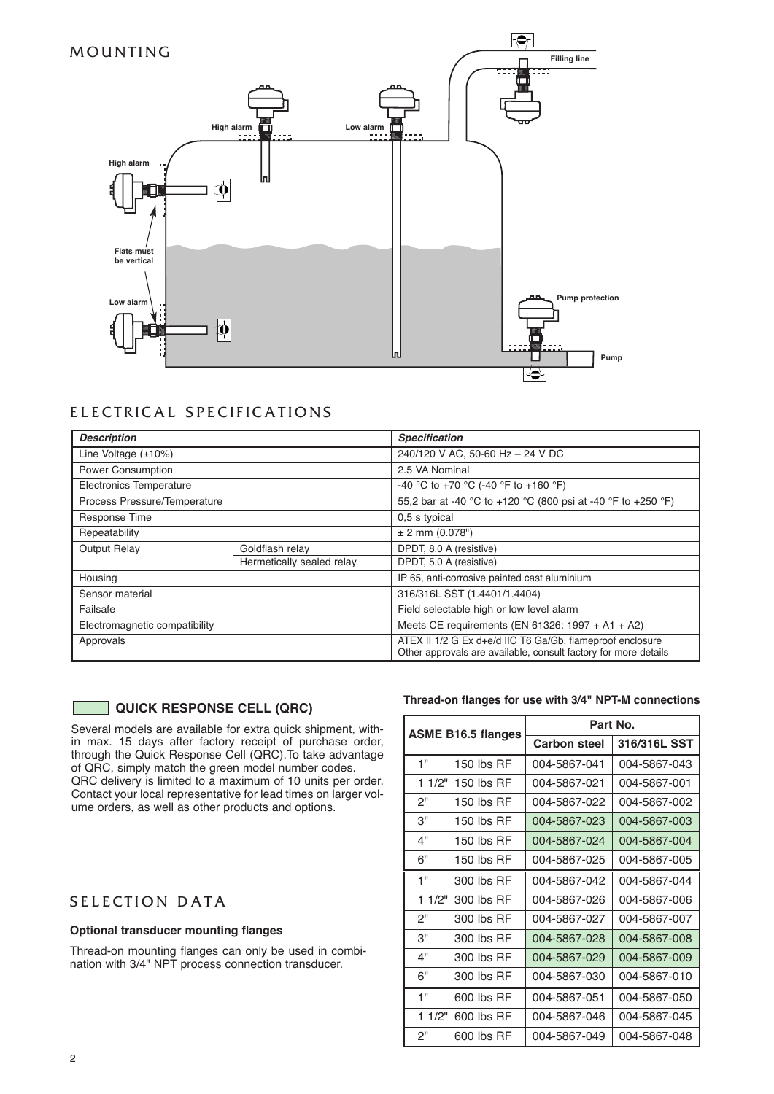

## ELECTRICAL SPECIFICATIONS

| <b>Description</b>            |                           | <b>Specification</b>                                                                                                         |  |
|-------------------------------|---------------------------|------------------------------------------------------------------------------------------------------------------------------|--|
| Line Voltage $(\pm 10\%)$     |                           | 240/120 V AC, 50-60 Hz - 24 V DC                                                                                             |  |
| <b>Power Consumption</b>      |                           | 2.5 VA Nominal                                                                                                               |  |
| Electronics Temperature       |                           | -40 °C to +70 °C (-40 °F to +160 °F)                                                                                         |  |
| Process Pressure/Temperature  |                           | 55,2 bar at -40 °C to +120 °C (800 psi at -40 °F to +250 °F)                                                                 |  |
| Response Time                 |                           | 0,5 s typical                                                                                                                |  |
| Repeatability                 |                           | $± 2$ mm (0.078")                                                                                                            |  |
| <b>Output Relay</b>           | Goldflash relay           | DPDT, 8.0 A (resistive)                                                                                                      |  |
|                               | Hermetically sealed relay | DPDT, 5.0 A (resistive)                                                                                                      |  |
| Housing                       |                           | IP 65, anti-corrosive painted cast aluminium                                                                                 |  |
| Sensor material               |                           | 316/316L SST (1.4401/1.4404)                                                                                                 |  |
| Failsafe                      |                           | Field selectable high or low level alarm                                                                                     |  |
| Electromagnetic compatibility |                           | Meets CE requirements (EN 61326: 1997 + A1 + A2)                                                                             |  |
| Approvals                     |                           | ATEX II 1/2 G Ex d+e/d IIC T6 Ga/Gb, flameproof enclosure<br>Other approvals are available, consult factory for more details |  |

### **QUICK RESPONSE CELL (QRC)**

Several models are available for extra quick shipment, within max. 15 days after factory receipt of purchase order, through the Quick Response Cell (QRC).To take advantage of QRC, simply match the green model number codes. QRC delivery is limited to a maximum of 10 units per order. Contact your local representative for lead times on larger volume orders, as well as other products and options.

## SELECTION DATA

#### **Optional transducer mounting flanges**

Thread-on mounting flanges can only be used in combination with 3/4" NPT process connection transducer.

#### **Thread-on flanges for use with 3/4" NPT-M connections**

| <b>ASME B16.5 flanges</b> |              | Part No.            |              |
|---------------------------|--------------|---------------------|--------------|
|                           |              | <b>Carbon steel</b> | 316/316L SST |
| 1"                        | 150 lbs $RF$ | 004-5867-041        | 004-5867-043 |
| 11/2"                     | 150 lbs RF   | 004-5867-021        | 004-5867-001 |
| 2"                        | 150 lbs $RF$ | 004-5867-022        | 004-5867-002 |
| 3"                        | 150 lbs $RF$ | 004-5867-023        | 004-5867-003 |
| 4"                        | 150 lbs RF   | 004-5867-024        | 004-5867-004 |
| 6"                        | 150 lbs RF   | 004-5867-025        | 004-5867-005 |
| 1"                        | 300 lbs RF   | 004-5867-042        | 004-5867-044 |
| 1 1/2"                    | 300 lbs RF   | 004-5867-026        | 004-5867-006 |
| 2"                        | 300 lbs RF   | 004-5867-027        | 004-5867-007 |
| 3"                        | 300 lbs RF   | 004-5867-028        | 004-5867-008 |
| 4"                        | 300 lbs RF   | 004-5867-029        | 004-5867-009 |
| 6"                        | 300 lbs RF   | 004-5867-030        | 004-5867-010 |
| 1"                        | 600 lbs RF   | 004-5867-051        | 004-5867-050 |
| 11/2"                     | 600 lbs RF   | 004-5867-046        | 004-5867-045 |
| 2"                        | 600 lbs RF   | 004-5867-049        | 004-5867-048 |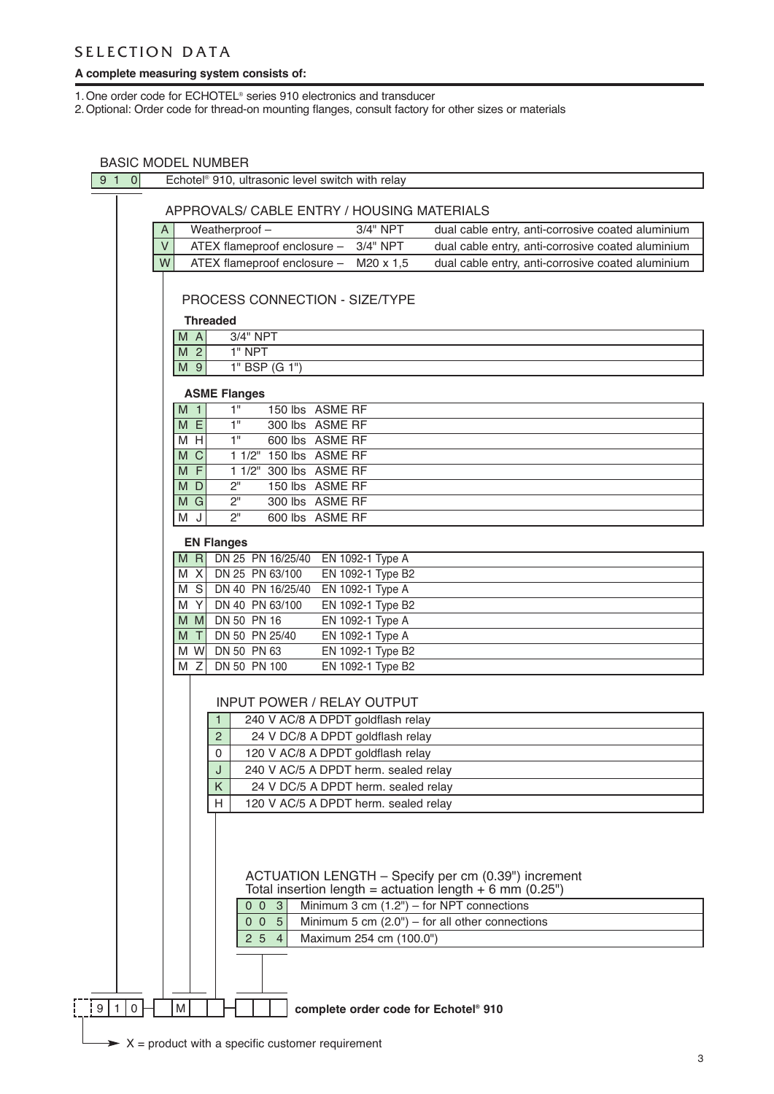## SELECTION DATA

#### **A complete measuring system consists of:**

1.One order code for ECHOTEL® series 910 electronics and transducer

2.Optional: Order code for thread-on mounting flanges, consult factory for other sizes or materials

## BASIC MODEL NUMBER

| 910 |                                                                |                | Echotel <sup>®</sup> 910, ultrasonic level switch with relay                                  |  |
|-----|----------------------------------------------------------------|----------------|-----------------------------------------------------------------------------------------------|--|
|     |                                                                |                |                                                                                               |  |
|     |                                                                |                | APPROVALS/ CABLE ENTRY / HOUSING MATERIALS                                                    |  |
|     |                                                                | A              | Weatherproof-<br>3/4" NPT<br>dual cable entry, anti-corrosive coated aluminium                |  |
|     |                                                                | $\vee$         | ATEX flameproof enclosure -<br>3/4" NPT<br>dual cable entry, anti-corrosive coated aluminium  |  |
|     |                                                                | W              | ATEX flameproof enclosure -<br>dual cable entry, anti-corrosive coated aluminium<br>M20 x 1,5 |  |
|     |                                                                |                |                                                                                               |  |
|     |                                                                |                | PROCESS CONNECTION - SIZE/TYPE                                                                |  |
|     |                                                                |                | <b>Threaded</b>                                                                               |  |
|     |                                                                | M A            | 3/4" NPT                                                                                      |  |
|     |                                                                | M <sub>2</sub> | $1"$ NPT                                                                                      |  |
|     |                                                                | M 9            | 1" BSP (G 1")                                                                                 |  |
|     |                                                                |                | <b>ASME Flanges</b>                                                                           |  |
|     |                                                                | M <sub>1</sub> | $\overline{1}$ "<br>150 lbs ASME RF                                                           |  |
|     |                                                                | M              | E<br>1"<br>300 lbs ASME RF                                                                    |  |
|     |                                                                | м              | 1"<br>H<br>600 lbs ASME RF                                                                    |  |
|     |                                                                | M              | $\mathsf{C}$<br>1 1/2" 150 lbs ASME RF                                                        |  |
|     |                                                                | M              | F<br>1 1/2" 300 lbs ASME RF                                                                   |  |
|     |                                                                | D<br>M         | 2"<br>150 lbs ASME RF                                                                         |  |
|     |                                                                | M<br>G         | 2"<br>300 lbs ASME RF<br>2 <sup>11</sup><br>J                                                 |  |
|     |                                                                | M              | 600 lbs ASME RF                                                                               |  |
|     |                                                                |                | <b>EN Flanges</b>                                                                             |  |
|     |                                                                | $M$ R          | DN 25 PN 16/25/40 EN 1092-1 Type A                                                            |  |
|     |                                                                | M              | DN 25 PN 63/100<br>EN 1092-1 Type B2<br>- XI                                                  |  |
|     |                                                                | M              | DN 40 PN 16/25/40<br>EN 1092-1 Type A<br>S<br>DN 40 PN 63/100<br>EN 1092-1 Type B2<br>Y       |  |
|     |                                                                | M<br>м         | DN 50 PN 16<br>EN 1092-1 Type A<br>MI.                                                        |  |
|     |                                                                | М              | DN 50 PN 25/40<br>EN 1092-1 Type A<br>$\top$                                                  |  |
|     |                                                                | м              | DN 50 PN 63<br>W<br>EN 1092-1 Type B2                                                         |  |
|     |                                                                | M              | Z<br>DN 50 PN 100<br>EN 1092-1 Type B2                                                        |  |
|     |                                                                |                |                                                                                               |  |
|     |                                                                |                | <b>INPUT POWER / RELAY OUTPUT</b>                                                             |  |
|     |                                                                |                | 240 V AC/8 A DPDT goldflash relay<br>$\mathbf{1}$                                             |  |
|     |                                                                |                | $\overline{c}$<br>24 V DC/8 A DPDT goldflash relay                                            |  |
|     |                                                                |                | $\Omega$<br>120 V AC/8 A DPDT goldflash relay                                                 |  |
|     |                                                                |                | 240 V AC/5 A DPDT herm. sealed relay<br>J                                                     |  |
|     |                                                                |                | 24 V DC/5 A DPDT herm. sealed relay<br>Κ                                                      |  |
|     |                                                                |                | 120 V AC/5 A DPDT herm. sealed relay<br>н                                                     |  |
|     |                                                                |                |                                                                                               |  |
|     |                                                                |                |                                                                                               |  |
|     |                                                                |                |                                                                                               |  |
|     |                                                                |                | ACTUATION LENGTH - Specify per cm (0.39") increment                                           |  |
|     |                                                                |                | Total insertion length = actuation length $+ 6$ mm (0.25")                                    |  |
|     |                                                                |                | Minimum 3 cm $(1.2")$ – for NPT connections<br>-3<br>0 <sub>0</sub>                           |  |
|     |                                                                |                | 0 <sub>0</sub><br>5<br>Minimum 5 cm $(2.0")$ – for all other connections                      |  |
|     |                                                                |                | Maximum 254 cm (100.0")<br>2 <sub>5</sub><br>4                                                |  |
|     |                                                                |                |                                                                                               |  |
|     |                                                                |                |                                                                                               |  |
| 9 1 | $\mathsf{O}\xspace$                                            | M              | complete order code for Echotel® 910                                                          |  |
|     |                                                                |                |                                                                                               |  |
|     | $\rightarrow$ X = product with a specific customer requirement |                |                                                                                               |  |